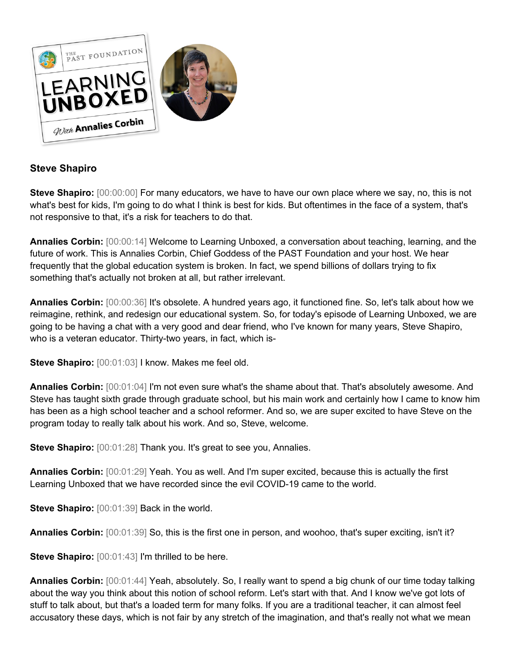

## **Steve Shapiro**

**Steve Shapiro:** [00:00:00] For many educators, we have to have our own place where we say, no, this is not what's best for kids, I'm going to do what I think is best for kids. But oftentimes in the face of a system, that's not responsive to that, it's a risk for teachers to do that.

**Annalies Corbin:** [00:00:14] Welcome to Learning Unboxed, a conversation about teaching, learning, and the future of work. This is Annalies Corbin, Chief Goddess of the PAST Foundation and your host. We hear frequently that the global education system is broken. In fact, we spend billions of dollars trying to fix something that's actually not broken at all, but rather irrelevant.

**Annalies Corbin:** [00:00:36] It's obsolete. A hundred years ago, it functioned fine. So, let's talk about how we reimagine, rethink, and redesign our educational system. So, for today's episode of Learning Unboxed, we are going to be having a chat with a very good and dear friend, who I've known for many years, Steve Shapiro, who is a veteran educator. Thirty-two years, in fact, which is-

**Steve Shapiro:** [00:01:03] I know. Makes me feel old.

**Annalies Corbin:** [00:01:04] I'm not even sure what's the shame about that. That's absolutely awesome. And Steve has taught sixth grade through graduate school, but his main work and certainly how I came to know him has been as a high school teacher and a school reformer. And so, we are super excited to have Steve on the program today to really talk about his work. And so, Steve, welcome.

**Steve Shapiro:**  $[00:01:28]$  Thank you. It's great to see you, Annalies.

**Annalies Corbin:** [00:01:29] Yeah. You as well. And I'm super excited, because this is actually the first Learning Unboxed that we have recorded since the evil COVID-19 came to the world.

**Steve Shapiro:** [00:01:39] Back in the world.

**Annalies Corbin:** [00:01:39] So, this is the first one in person, and woohoo, that's super exciting, isn't it?

**Steve Shapiro:** [00:01:43] I'm thrilled to be here.

**Annalies Corbin:** [00:01:44] Yeah, absolutely. So, I really want to spend a big chunk of our time today talking about the way you think about this notion of school reform. Let's start with that. And I know we've got lots of stuff to talk about, but that's a loaded term for many folks. If you are a traditional teacher, it can almost feel accusatory these days, which is not fair by any stretch of the imagination, and that's really not what we mean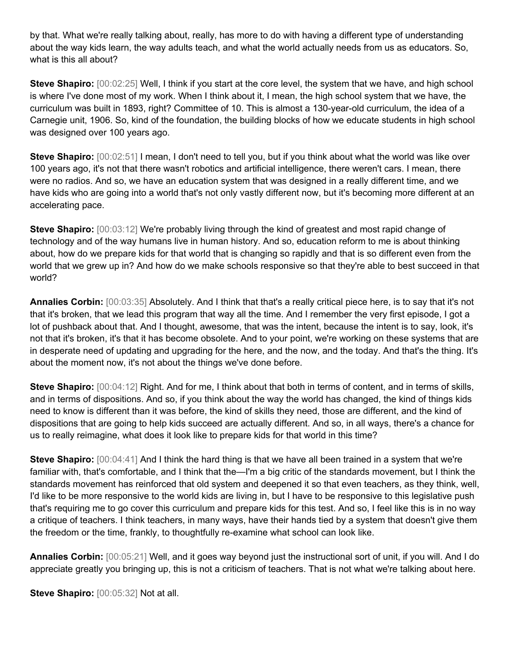by that. What we're really talking about, really, has more to do with having a different type of understanding about the way kids learn, the way adults teach, and what the world actually needs from us as educators. So, what is this all about?

**Steve Shapiro:** [00:02:25] Well, I think if you start at the core level, the system that we have, and high school is where I've done most of my work. When I think about it, I mean, the high school system that we have, the curriculum was built in 1893, right? Committee of 10. This is almost a 130-year-old curriculum, the idea of a Carnegie unit, 1906. So, kind of the foundation, the building blocks of how we educate students in high school was designed over 100 years ago.

**Steve Shapiro:** [00:02:51] I mean, I don't need to tell you, but if you think about what the world was like over 100 years ago, it's not that there wasn't robotics and artificial intelligence, there weren't cars. I mean, there were no radios. And so, we have an education system that was designed in a really different time, and we have kids who are going into a world that's not only vastly different now, but it's becoming more different at an accelerating pace.

**Steve Shapiro:** [00:03:12] We're probably living through the kind of greatest and most rapid change of technology and of the way humans live in human history. And so, education reform to me is about thinking about, how do we prepare kids for that world that is changing so rapidly and that is so different even from the world that we grew up in? And how do we make schools responsive so that they're able to best succeed in that world?

**Annalies Corbin:** [00:03:35] Absolutely. And I think that that's a really critical piece here, is to say that it's not that it's broken, that we lead this program that way all the time. And I remember the very first episode, I got a lot of pushback about that. And I thought, awesome, that was the intent, because the intent is to say, look, it's not that it's broken, it's that it has become obsolete. And to your point, we're working on these systems that are in desperate need of updating and upgrading for the here, and the now, and the today. And that's the thing. It's about the moment now, it's not about the things we've done before.

**Steve Shapiro:** [00:04:12] Right. And for me, I think about that both in terms of content, and in terms of skills, and in terms of dispositions. And so, if you think about the way the world has changed, the kind of things kids need to know is different than it was before, the kind of skills they need, those are different, and the kind of dispositions that are going to help kids succeed are actually different. And so, in all ways, there's a chance for us to really reimagine, what does it look like to prepare kids for that world in this time?

**Steve Shapiro:** [00:04:41] And I think the hard thing is that we have all been trained in a system that we're familiar with, that's comfortable, and I think that the—I'm a big critic of the standards movement, but I think the standards movement has reinforced that old system and deepened it so that even teachers, as they think, well, I'd like to be more responsive to the world kids are living in, but I have to be responsive to this legislative push that's requiring me to go cover this curriculum and prepare kids for this test. And so, I feel like this is in no way a critique of teachers. I think teachers, in many ways, have their hands tied by a system that doesn't give them the freedom or the time, frankly, to thoughtfully re-examine what school can look like.

**Annalies Corbin:** [00:05:21] Well, and it goes way beyond just the instructional sort of unit, if you will. And I do appreciate greatly you bringing up, this is not a criticism of teachers. That is not what we're talking about here.

**Steve Shapiro:** [00:05:32] Not at all.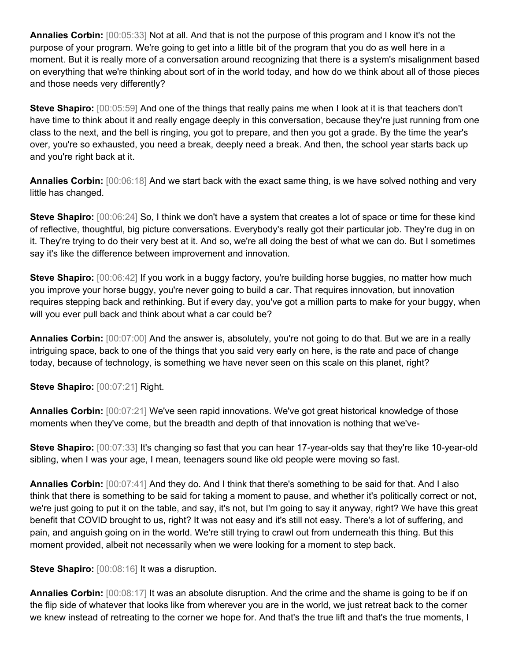**Annalies Corbin:** [00:05:33] Not at all. And that is not the purpose of this program and I know it's not the purpose of your program. We're going to get into a little bit of the program that you do as well here in a moment. But it is really more of a conversation around recognizing that there is a system's misalignment based on everything that we're thinking about sort of in the world today, and how do we think about all of those pieces and those needs very differently?

**Steve Shapiro:** [00:05:59] And one of the things that really pains me when I look at it is that teachers don't have time to think about it and really engage deeply in this conversation, because they're just running from one class to the next, and the bell is ringing, you got to prepare, and then you got a grade. By the time the year's over, you're so exhausted, you need a break, deeply need a break. And then, the school year starts back up and you're right back at it.

**Annalies Corbin:** [00:06:18] And we start back with the exact same thing, is we have solved nothing and very little has changed.

**Steve Shapiro:** [00:06:24] So, I think we don't have a system that creates a lot of space or time for these kind of reflective, thoughtful, big picture conversations. Everybody's really got their particular job. They're dug in on it. They're trying to do their very best at it. And so, we're all doing the best of what we can do. But I sometimes say it's like the difference between improvement and innovation.

**Steve Shapiro:**  $[00:06:42]$  If you work in a buggy factory, you're building horse buggies, no matter how much you improve your horse buggy, you're never going to build a car. That requires innovation, but innovation requires stepping back and rethinking. But if every day, you've got a million parts to make for your buggy, when will you ever pull back and think about what a car could be?

**Annalies Corbin:** [00:07:00] And the answer is, absolutely, you're not going to do that. But we are in a really intriguing space, back to one of the things that you said very early on here, is the rate and pace of change today, because of technology, is something we have never seen on this scale on this planet, right?

**Steve Shapiro:** [00:07:21] Right.

**Annalies Corbin:** [00:07:21] We've seen rapid innovations. We've got great historical knowledge of those moments when they've come, but the breadth and depth of that innovation is nothing that we've-

**Steve Shapiro:** [00:07:33] It's changing so fast that you can hear 17-year-olds say that they're like 10-year-old sibling, when I was your age, I mean, teenagers sound like old people were moving so fast.

**Annalies Corbin:** [00:07:41] And they do. And I think that there's something to be said for that. And I also think that there is something to be said for taking a moment to pause, and whether it's politically correct or not, we're just going to put it on the table, and say, it's not, but I'm going to say it anyway, right? We have this great benefit that COVID brought to us, right? It was not easy and it's still not easy. There's a lot of suffering, and pain, and anguish going on in the world. We're still trying to crawl out from underneath this thing. But this moment provided, albeit not necessarily when we were looking for a moment to step back.

**Steve Shapiro:** [00:08:16] It was a disruption.

**Annalies Corbin:** [00:08:17] It was an absolute disruption. And the crime and the shame is going to be if on the flip side of whatever that looks like from wherever you are in the world, we just retreat back to the corner we knew instead of retreating to the corner we hope for. And that's the true lift and that's the true moments, I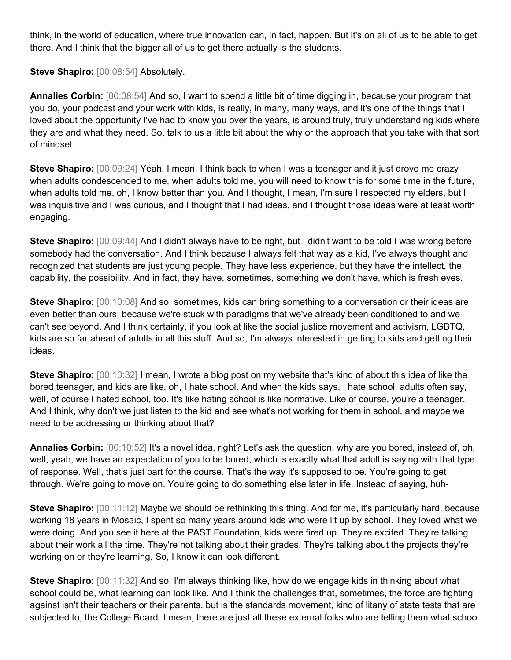think, in the world of education, where true innovation can, in fact, happen. But it's on all of us to be able to get there. And I think that the bigger all of us to get there actually is the students.

**Steve Shapiro:** [00:08:54] Absolutely.

**Annalies Corbin:** [00:08:54] And so, I want to spend a little bit of time digging in, because your program that you do, your podcast and your work with kids, is really, in many, many ways, and it's one of the things that I loved about the opportunity I've had to know you over the years, is around truly, truly understanding kids where they are and what they need. So, talk to us a little bit about the why or the approach that you take with that sort of mindset.

**Steve Shapiro:** [00:09:24] Yeah. I mean, I think back to when I was a teenager and it just drove me crazy when adults condescended to me, when adults told me, you will need to know this for some time in the future, when adults told me, oh, I know better than you. And I thought, I mean, I'm sure I respected my elders, but I was inquisitive and I was curious, and I thought that I had ideas, and I thought those ideas were at least worth engaging.

**Steve Shapiro:** [00:09:44] And I didn't always have to be right, but I didn't want to be told I was wrong before somebody had the conversation. And I think because I always felt that way as a kid, I've always thought and recognized that students are just young people. They have less experience, but they have the intellect, the capability, the possibility. And in fact, they have, sometimes, something we don't have, which is fresh eyes.

**Steve Shapiro:**  $[00:10:08]$  And so, sometimes, kids can bring something to a conversation or their ideas are even better than ours, because we're stuck with paradigms that we've already been conditioned to and we can't see beyond. And I think certainly, if you look at like the social justice movement and activism, LGBTQ, kids are so far ahead of adults in all this stuff. And so, I'm always interested in getting to kids and getting their ideas.

**Steve Shapiro:** [00:10:32] I mean, I wrote a blog post on my website that's kind of about this idea of like the bored teenager, and kids are like, oh, I hate school. And when the kids says, I hate school, adults often say, well, of course I hated school, too. It's like hating school is like normative. Like of course, you're a teenager. And I think, why don't we just listen to the kid and see what's not working for them in school, and maybe we need to be addressing or thinking about that?

**Annalies Corbin:** [00:10:52] It's a novel idea, right? Let's ask the question, why are you bored, instead of, oh, well, yeah, we have an expectation of you to be bored, which is exactly what that adult is saying with that type of response. Well, that's just part for the course. That's the way it's supposed to be. You're going to get through. We're going to move on. You're going to do something else later in life. Instead of saying, huh-

**Steve Shapiro:** [00:11:12] Maybe we should be rethinking this thing. And for me, it's particularly hard, because working 18 years in Mosaic, I spent so many years around kids who were lit up by school. They loved what we were doing. And you see it here at the PAST Foundation, kids were fired up. They're excited. They're talking about their work all the time. They're not talking about their grades. They're talking about the projects they're working on or they're learning. So, I know it can look different.

**Steve Shapiro:** [00:11:32] And so, I'm always thinking like, how do we engage kids in thinking about what school could be, what learning can look like. And I think the challenges that, sometimes, the force are fighting against isn't their teachers or their parents, but is the standards movement, kind of litany of state tests that are subjected to, the College Board. I mean, there are just all these external folks who are telling them what school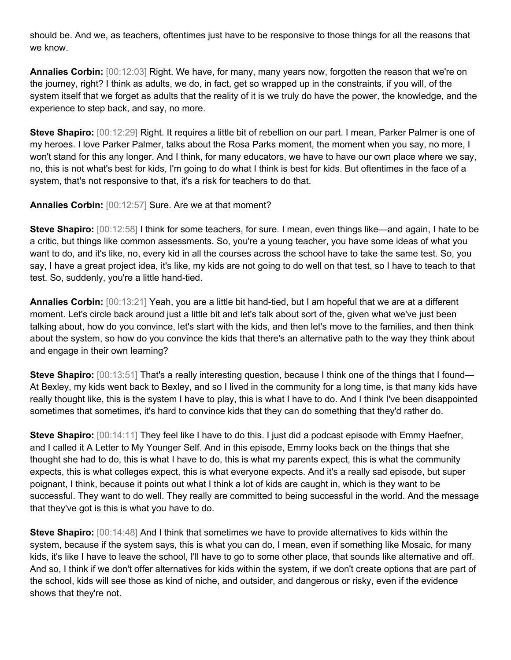should be. And we, as teachers, oftentimes just have to be responsive to those things for all the reasons that we know.

**Annalies Corbin:** [00:12:03] Right. We have, for many, many years now, forgotten the reason that we're on the journey, right? I think as adults, we do, in fact, get so wrapped up in the constraints, if you will, of the system itself that we forget as adults that the reality of it is we truly do have the power, the knowledge, and the experience to step back, and say, no more.

**Steve Shapiro:** [00:12:29] Right. It requires a little bit of rebellion on our part. I mean, Parker Palmer is one of my heroes. I love Parker Palmer, talks about the Rosa Parks moment, the moment when you say, no more, I won't stand for this any longer. And I think, for many educators, we have to have our own place where we say, no, this is not what's best for kids, I'm going to do what I think is best for kids. But oftentimes in the face of a system, that's not responsive to that, it's a risk for teachers to do that.

**Annalies Corbin:** [00:12:57] Sure. Are we at that moment?

**Steve Shapiro:** [00:12:58] I think for some teachers, for sure. I mean, even things like—and again, I hate to be a critic, but things like common assessments. So, you're a young teacher, you have some ideas of what you want to do, and it's like, no, every kid in all the courses across the school have to take the same test. So, you say, I have a great project idea, it's like, my kids are not going to do well on that test, so I have to teach to that test. So, suddenly, you're a little hand-tied.

**Annalies Corbin:** [00:13:21] Yeah, you are a little bit hand-tied, but I am hopeful that we are at a different moment. Let's circle back around just a little bit and let's talk about sort of the, given what we've just been talking about, how do you convince, let's start with the kids, and then let's move to the families, and then think about the system, so how do you convince the kids that there's an alternative path to the way they think about and engage in their own learning?

**Steve Shapiro:** [00:13:51] That's a really interesting question, because I think one of the things that I found— At Bexley, my kids went back to Bexley, and so I lived in the community for a long time, is that many kids have really thought like, this is the system I have to play, this is what I have to do. And I think I've been disappointed sometimes that sometimes, it's hard to convince kids that they can do something that they'd rather do.

**Steve Shapiro:** [00:14:11] They feel like I have to do this. I just did a podcast episode with Emmy Haefner, and I called it A Letter to My Younger Self. And in this episode, Emmy looks back on the things that she thought she had to do, this is what I have to do, this is what my parents expect, this is what the community expects, this is what colleges expect, this is what everyone expects. And it's a really sad episode, but super poignant, I think, because it points out what I think a lot of kids are caught in, which is they want to be successful. They want to do well. They really are committed to being successful in the world. And the message that they've got is this is what you have to do.

**Steve Shapiro:** [00:14:48] And I think that sometimes we have to provide alternatives to kids within the system, because if the system says, this is what you can do, I mean, even if something like Mosaic, for many kids, it's like I have to leave the school, I'll have to go to some other place, that sounds like alternative and off. And so, I think if we don't offer alternatives for kids within the system, if we don't create options that are part of the school, kids will see those as kind of niche, and outsider, and dangerous or risky, even if the evidence shows that they're not.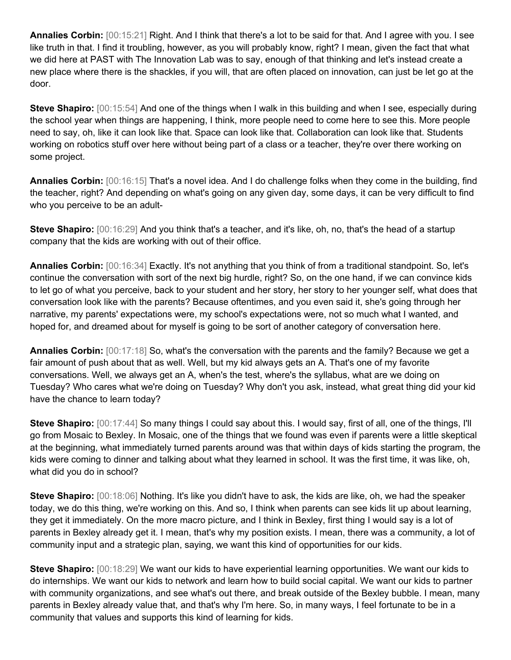**Annalies Corbin:** [00:15:21] Right. And I think that there's a lot to be said for that. And I agree with you. I see like truth in that. I find it troubling, however, as you will probably know, right? I mean, given the fact that what we did here at PAST with The Innovation Lab was to say, enough of that thinking and let's instead create a new place where there is the shackles, if you will, that are often placed on innovation, can just be let go at the door.

**Steve Shapiro:** [00:15:54] And one of the things when I walk in this building and when I see, especially during the school year when things are happening, I think, more people need to come here to see this. More people need to say, oh, like it can look like that. Space can look like that. Collaboration can look like that. Students working on robotics stuff over here without being part of a class or a teacher, they're over there working on some project.

**Annalies Corbin:** [00:16:15] That's a novel idea. And I do challenge folks when they come in the building, find the teacher, right? And depending on what's going on any given day, some days, it can be very difficult to find who you perceive to be an adult-

**Steve Shapiro:** [00:16:29] And you think that's a teacher, and it's like, oh, no, that's the head of a startup company that the kids are working with out of their office.

**Annalies Corbin:** [00:16:34] Exactly. It's not anything that you think of from a traditional standpoint. So, let's continue the conversation with sort of the next big hurdle, right? So, on the one hand, if we can convince kids to let go of what you perceive, back to your student and her story, her story to her younger self, what does that conversation look like with the parents? Because oftentimes, and you even said it, she's going through her narrative, my parents' expectations were, my school's expectations were, not so much what I wanted, and hoped for, and dreamed about for myself is going to be sort of another category of conversation here.

**Annalies Corbin:** [00:17:18] So, what's the conversation with the parents and the family? Because we get a fair amount of push about that as well. Well, but my kid always gets an A. That's one of my favorite conversations. Well, we always get an A, when's the test, where's the syllabus, what are we doing on Tuesday? Who cares what we're doing on Tuesday? Why don't you ask, instead, what great thing did your kid have the chance to learn today?

**Steve Shapiro:** [00:17:44] So many things I could say about this. I would say, first of all, one of the things, I'll go from Mosaic to Bexley. In Mosaic, one of the things that we found was even if parents were a little skeptical at the beginning, what immediately turned parents around was that within days of kids starting the program, the kids were coming to dinner and talking about what they learned in school. It was the first time, it was like, oh, what did you do in school?

**Steve Shapiro:** [00:18:06] Nothing. It's like you didn't have to ask, the kids are like, oh, we had the speaker today, we do this thing, we're working on this. And so, I think when parents can see kids lit up about learning, they get it immediately. On the more macro picture, and I think in Bexley, first thing I would say is a lot of parents in Bexley already get it. I mean, that's why my position exists. I mean, there was a community, a lot of community input and a strategic plan, saying, we want this kind of opportunities for our kids.

**Steve Shapiro:** [00:18:29] We want our kids to have experiential learning opportunities. We want our kids to do internships. We want our kids to network and learn how to build social capital. We want our kids to partner with community organizations, and see what's out there, and break outside of the Bexley bubble. I mean, many parents in Bexley already value that, and that's why I'm here. So, in many ways, I feel fortunate to be in a community that values and supports this kind of learning for kids.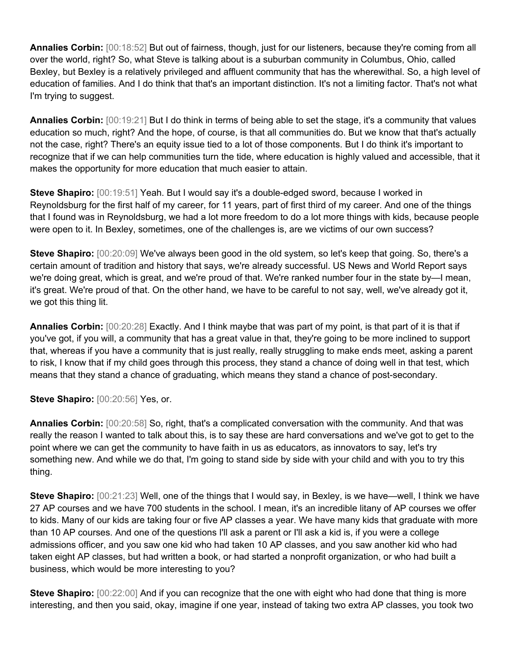**Annalies Corbin:** [00:18:52] But out of fairness, though, just for our listeners, because they're coming from all over the world, right? So, what Steve is talking about is a suburban community in Columbus, Ohio, called Bexley, but Bexley is a relatively privileged and affluent community that has the wherewithal. So, a high level of education of families. And I do think that that's an important distinction. It's not a limiting factor. That's not what I'm trying to suggest.

**Annalies Corbin:** [00:19:21] But I do think in terms of being able to set the stage, it's a community that values education so much, right? And the hope, of course, is that all communities do. But we know that that's actually not the case, right? There's an equity issue tied to a lot of those components. But I do think it's important to recognize that if we can help communities turn the tide, where education is highly valued and accessible, that it makes the opportunity for more education that much easier to attain.

**Steve Shapiro:** [00:19:51] Yeah. But I would say it's a double-edged sword, because I worked in Reynoldsburg for the first half of my career, for 11 years, part of first third of my career. And one of the things that I found was in Reynoldsburg, we had a lot more freedom to do a lot more things with kids, because people were open to it. In Bexley, sometimes, one of the challenges is, are we victims of our own success?

**Steve Shapiro:** [00:20:09] We've always been good in the old system, so let's keep that going. So, there's a certain amount of tradition and history that says, we're already successful. US News and World Report says we're doing great, which is great, and we're proud of that. We're ranked number four in the state by—I mean, it's great. We're proud of that. On the other hand, we have to be careful to not say, well, we've already got it, we got this thing lit.

**Annalies Corbin:** [00:20:28] Exactly. And I think maybe that was part of my point, is that part of it is that if you've got, if you will, a community that has a great value in that, they're going to be more inclined to support that, whereas if you have a community that is just really, really struggling to make ends meet, asking a parent to risk, I know that if my child goes through this process, they stand a chance of doing well in that test, which means that they stand a chance of graduating, which means they stand a chance of post-secondary.

**Steve Shapiro: [00:20:56] Yes, or.** 

**Annalies Corbin:** [00:20:58] So, right, that's a complicated conversation with the community. And that was really the reason I wanted to talk about this, is to say these are hard conversations and we've got to get to the point where we can get the community to have faith in us as educators, as innovators to say, let's try something new. And while we do that, I'm going to stand side by side with your child and with you to try this thing.

**Steve Shapiro:** [00:21:23] Well, one of the things that I would say, in Bexley, is we have—well, I think we have 27 AP courses and we have 700 students in the school. I mean, it's an incredible litany of AP courses we offer to kids. Many of our kids are taking four or five AP classes a year. We have many kids that graduate with more than 10 AP courses. And one of the questions I'll ask a parent or I'll ask a kid is, if you were a college admissions officer, and you saw one kid who had taken 10 AP classes, and you saw another kid who had taken eight AP classes, but had written a book, or had started a nonprofit organization, or who had built a business, which would be more interesting to you?

**Steve Shapiro:**  $[00:22:00]$  And if you can recognize that the one with eight who had done that thing is more interesting, and then you said, okay, imagine if one year, instead of taking two extra AP classes, you took two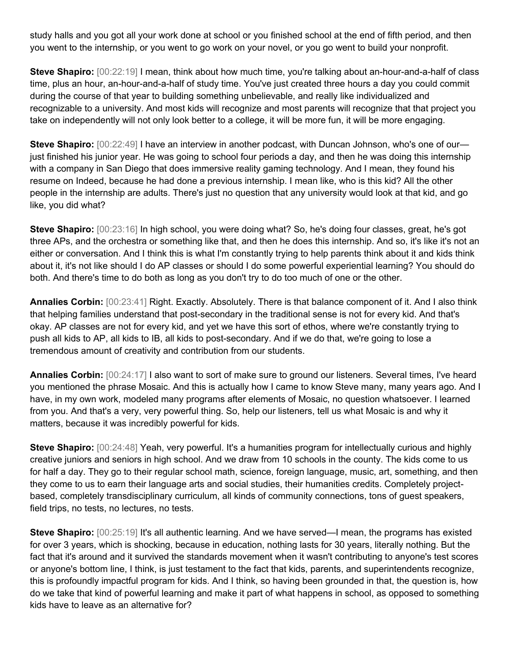study halls and you got all your work done at school or you finished school at the end of fifth period, and then you went to the internship, or you went to go work on your novel, or you go went to build your nonprofit.

**Steve Shapiro:** [00:22:19] I mean, think about how much time, you're talking about an-hour-and-a-half of class time, plus an hour, an-hour-and-a-half of study time. You've just created three hours a day you could commit during the course of that year to building something unbelievable, and really like individualized and recognizable to a university. And most kids will recognize and most parents will recognize that that project you take on independently will not only look better to a college, it will be more fun, it will be more engaging.

**Steve Shapiro:**  $[00:22:49]$  I have an interview in another podcast, with Duncan Johnson, who's one of our just finished his junior year. He was going to school four periods a day, and then he was doing this internship with a company in San Diego that does immersive reality gaming technology. And I mean, they found his resume on Indeed, because he had done a previous internship. I mean like, who is this kid? All the other people in the internship are adults. There's just no question that any university would look at that kid, and go like, you did what?

**Steve Shapiro:** [00:23:16] In high school, you were doing what? So, he's doing four classes, great, he's got three APs, and the orchestra or something like that, and then he does this internship. And so, it's like it's not an either or conversation. And I think this is what I'm constantly trying to help parents think about it and kids think about it, it's not like should I do AP classes or should I do some powerful experiential learning? You should do both. And there's time to do both as long as you don't try to do too much of one or the other.

**Annalies Corbin:** [00:23:41] Right. Exactly. Absolutely. There is that balance component of it. And I also think that helping families understand that post-secondary in the traditional sense is not for every kid. And that's okay. AP classes are not for every kid, and yet we have this sort of ethos, where we're constantly trying to push all kids to AP, all kids to IB, all kids to post-secondary. And if we do that, we're going to lose a tremendous amount of creativity and contribution from our students.

**Annalies Corbin:** [00:24:17] I also want to sort of make sure to ground our listeners. Several times, I've heard you mentioned the phrase Mosaic. And this is actually how I came to know Steve many, many years ago. And I have, in my own work, modeled many programs after elements of Mosaic, no question whatsoever. I learned from you. And that's a very, very powerful thing. So, help our listeners, tell us what Mosaic is and why it matters, because it was incredibly powerful for kids.

**Steve Shapiro:** [00:24:48] Yeah, very powerful. It's a humanities program for intellectually curious and highly creative juniors and seniors in high school. And we draw from 10 schools in the county. The kids come to us for half a day. They go to their regular school math, science, foreign language, music, art, something, and then they come to us to earn their language arts and social studies, their humanities credits. Completely projectbased, completely transdisciplinary curriculum, all kinds of community connections, tons of guest speakers, field trips, no tests, no lectures, no tests.

**Steve Shapiro:**  $[00:25:19]$  It's all authentic learning. And we have served—I mean, the programs has existed for over 3 years, which is shocking, because in education, nothing lasts for 30 years, literally nothing. But the fact that it's around and it survived the standards movement when it wasn't contributing to anyone's test scores or anyone's bottom line, I think, is just testament to the fact that kids, parents, and superintendents recognize, this is profoundly impactful program for kids. And I think, so having been grounded in that, the question is, how do we take that kind of powerful learning and make it part of what happens in school, as opposed to something kids have to leave as an alternative for?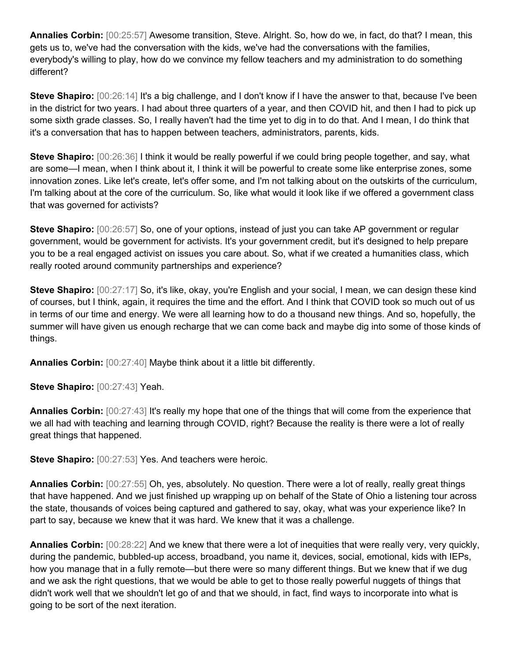**Annalies Corbin:** [00:25:57] Awesome transition, Steve. Alright. So, how do we, in fact, do that? I mean, this gets us to, we've had the conversation with the kids, we've had the conversations with the families, everybody's willing to play, how do we convince my fellow teachers and my administration to do something different?

**Steve Shapiro:** [00:26:14] It's a big challenge, and I don't know if I have the answer to that, because I've been in the district for two years. I had about three quarters of a year, and then COVID hit, and then I had to pick up some sixth grade classes. So, I really haven't had the time yet to dig in to do that. And I mean, I do think that it's a conversation that has to happen between teachers, administrators, parents, kids.

**Steve Shapiro:** [00:26:36] I think it would be really powerful if we could bring people together, and say, what are some—I mean, when I think about it, I think it will be powerful to create some like enterprise zones, some innovation zones. Like let's create, let's offer some, and I'm not talking about on the outskirts of the curriculum, I'm talking about at the core of the curriculum. So, like what would it look like if we offered a government class that was governed for activists?

**Steve Shapiro:** [00:26:57] So, one of your options, instead of just you can take AP government or regular government, would be government for activists. It's your government credit, but it's designed to help prepare you to be a real engaged activist on issues you care about. So, what if we created a humanities class, which really rooted around community partnerships and experience?

**Steve Shapiro:** [00:27:17] So, it's like, okay, you're English and your social, I mean, we can design these kind of courses, but I think, again, it requires the time and the effort. And I think that COVID took so much out of us in terms of our time and energy. We were all learning how to do a thousand new things. And so, hopefully, the summer will have given us enough recharge that we can come back and maybe dig into some of those kinds of things.

**Annalies Corbin:** [00:27:40] Maybe think about it a little bit differently.

**Steve Shapiro:** [00:27:43] Yeah.

**Annalies Corbin:** [00:27:43] It's really my hope that one of the things that will come from the experience that we all had with teaching and learning through COVID, right? Because the reality is there were a lot of really great things that happened.

**Steve Shapiro:** [00:27:53] Yes. And teachers were heroic.

**Annalies Corbin:** [00:27:55] Oh, yes, absolutely. No question. There were a lot of really, really great things that have happened. And we just finished up wrapping up on behalf of the State of Ohio a listening tour across the state, thousands of voices being captured and gathered to say, okay, what was your experience like? In part to say, because we knew that it was hard. We knew that it was a challenge.

**Annalies Corbin:** [00:28:22] And we knew that there were a lot of inequities that were really very, very quickly, during the pandemic, bubbled-up access, broadband, you name it, devices, social, emotional, kids with IEPs, how you manage that in a fully remote—but there were so many different things. But we knew that if we dug and we ask the right questions, that we would be able to get to those really powerful nuggets of things that didn't work well that we shouldn't let go of and that we should, in fact, find ways to incorporate into what is going to be sort of the next iteration.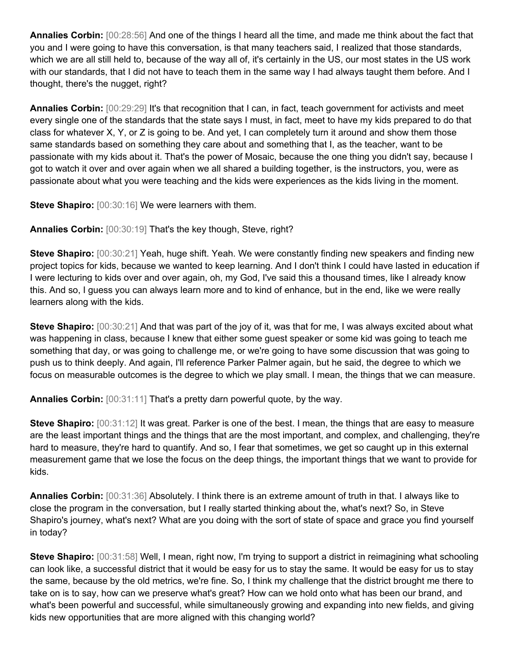**Annalies Corbin:** [00:28:56] And one of the things I heard all the time, and made me think about the fact that you and I were going to have this conversation, is that many teachers said, I realized that those standards, which we are all still held to, because of the way all of, it's certainly in the US, our most states in the US work with our standards, that I did not have to teach them in the same way I had always taught them before. And I thought, there's the nugget, right?

**Annalies Corbin:** [00:29:29] It's that recognition that I can, in fact, teach government for activists and meet every single one of the standards that the state says I must, in fact, meet to have my kids prepared to do that class for whatever X, Y, or Z is going to be. And yet, I can completely turn it around and show them those same standards based on something they care about and something that I, as the teacher, want to be passionate with my kids about it. That's the power of Mosaic, because the one thing you didn't say, because I got to watch it over and over again when we all shared a building together, is the instructors, you, were as passionate about what you were teaching and the kids were experiences as the kids living in the moment.

**Steve Shapiro:** [00:30:16] We were learners with them.

**Annalies Corbin:** [00:30:19] That's the key though, Steve, right?

**Steve Shapiro:** [00:30:21] Yeah, huge shift. Yeah. We were constantly finding new speakers and finding new project topics for kids, because we wanted to keep learning. And I don't think I could have lasted in education if I were lecturing to kids over and over again, oh, my God, I've said this a thousand times, like I already know this. And so, I guess you can always learn more and to kind of enhance, but in the end, like we were really learners along with the kids.

**Steve Shapiro:** [00:30:21] And that was part of the joy of it, was that for me, I was always excited about what was happening in class, because I knew that either some guest speaker or some kid was going to teach me something that day, or was going to challenge me, or we're going to have some discussion that was going to push us to think deeply. And again, I'll reference Parker Palmer again, but he said, the degree to which we focus on measurable outcomes is the degree to which we play small. I mean, the things that we can measure.

**Annalies Corbin:** [00:31:11] That's a pretty darn powerful quote, by the way.

**Steve Shapiro:** [00:31:12] It was great. Parker is one of the best. I mean, the things that are easy to measure are the least important things and the things that are the most important, and complex, and challenging, they're hard to measure, they're hard to quantify. And so, I fear that sometimes, we get so caught up in this external measurement game that we lose the focus on the deep things, the important things that we want to provide for kids.

**Annalies Corbin:** [00:31:36] Absolutely. I think there is an extreme amount of truth in that. I always like to close the program in the conversation, but I really started thinking about the, what's next? So, in Steve Shapiro's journey, what's next? What are you doing with the sort of state of space and grace you find yourself in today?

**Steve Shapiro:** [00:31:58] Well, I mean, right now, I'm trying to support a district in reimagining what schooling can look like, a successful district that it would be easy for us to stay the same. It would be easy for us to stay the same, because by the old metrics, we're fine. So, I think my challenge that the district brought me there to take on is to say, how can we preserve what's great? How can we hold onto what has been our brand, and what's been powerful and successful, while simultaneously growing and expanding into new fields, and giving kids new opportunities that are more aligned with this changing world?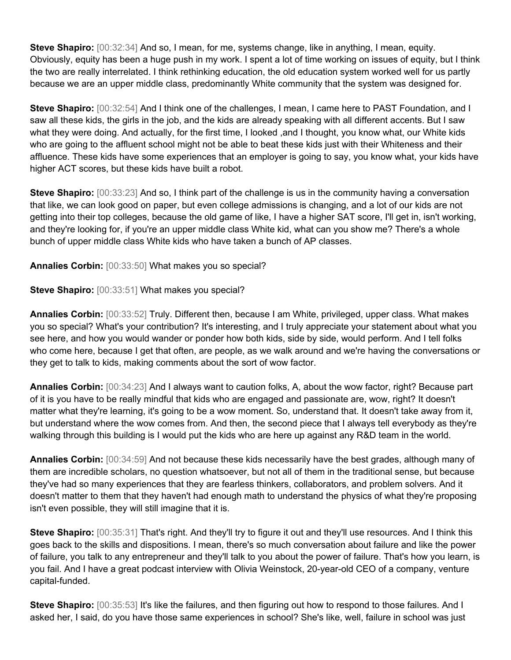**Steve Shapiro:** [00:32:34] And so, I mean, for me, systems change, like in anything, I mean, equity. Obviously, equity has been a huge push in my work. I spent a lot of time working on issues of equity, but I think the two are really interrelated. I think rethinking education, the old education system worked well for us partly because we are an upper middle class, predominantly White community that the system was designed for.

**Steve Shapiro:** [00:32:54] And I think one of the challenges, I mean, I came here to PAST Foundation, and I saw all these kids, the girls in the job, and the kids are already speaking with all different accents. But I saw what they were doing. And actually, for the first time, I looked ,and I thought, you know what, our White kids who are going to the affluent school might not be able to beat these kids just with their Whiteness and their affluence. These kids have some experiences that an employer is going to say, you know what, your kids have higher ACT scores, but these kids have built a robot.

**Steve Shapiro:** [00:33:23] And so, I think part of the challenge is us in the community having a conversation that like, we can look good on paper, but even college admissions is changing, and a lot of our kids are not getting into their top colleges, because the old game of like, I have a higher SAT score, I'll get in, isn't working, and they're looking for, if you're an upper middle class White kid, what can you show me? There's a whole bunch of upper middle class White kids who have taken a bunch of AP classes.

**Annalies Corbin:** [00:33:50] What makes you so special?

**Steve Shapiro:** [00:33:51] What makes you special?

**Annalies Corbin:** [00:33:52] Truly. Different then, because I am White, privileged, upper class. What makes you so special? What's your contribution? It's interesting, and I truly appreciate your statement about what you see here, and how you would wander or ponder how both kids, side by side, would perform. And I tell folks who come here, because I get that often, are people, as we walk around and we're having the conversations or they get to talk to kids, making comments about the sort of wow factor.

**Annalies Corbin:** [00:34:23] And I always want to caution folks, A, about the wow factor, right? Because part of it is you have to be really mindful that kids who are engaged and passionate are, wow, right? It doesn't matter what they're learning, it's going to be a wow moment. So, understand that. It doesn't take away from it, but understand where the wow comes from. And then, the second piece that I always tell everybody as they're walking through this building is I would put the kids who are here up against any R&D team in the world.

**Annalies Corbin:** [00:34:59] And not because these kids necessarily have the best grades, although many of them are incredible scholars, no question whatsoever, but not all of them in the traditional sense, but because they've had so many experiences that they are fearless thinkers, collaborators, and problem solvers. And it doesn't matter to them that they haven't had enough math to understand the physics of what they're proposing isn't even possible, they will still imagine that it is.

**Steve Shapiro:** [00:35:31] That's right. And they'll try to figure it out and they'll use resources. And I think this goes back to the skills and dispositions. I mean, there's so much conversation about failure and like the power of failure, you talk to any entrepreneur and they'll talk to you about the power of failure. That's how you learn, is you fail. And I have a great podcast interview with Olivia Weinstock, 20-year-old CEO of a company, venture capital-funded.

**Steve Shapiro:** [00:35:53] It's like the failures, and then figuring out how to respond to those failures. And I asked her, I said, do you have those same experiences in school? She's like, well, failure in school was just